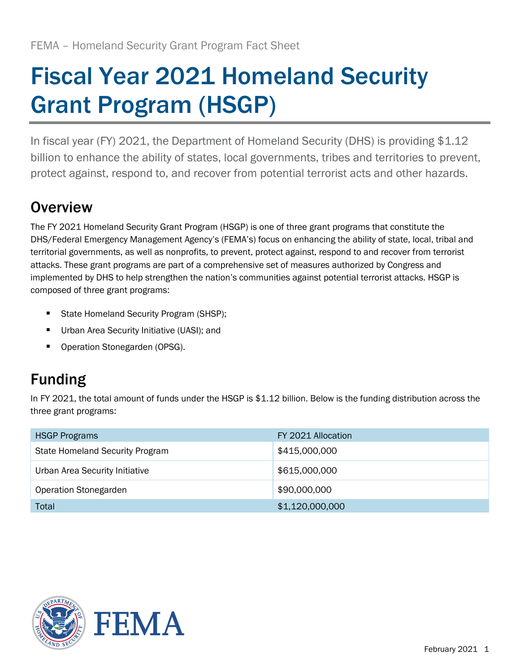# Fiscal Year 2021 Homeland Security Grant Program (HSGP)

In fiscal year (FY) 2021, the Department of Homeland Security (DHS) is providing \$1.12 billion to enhance the ability of states, local governments, tribes and territories to prevent, protect against, respond to, and recover from potential terrorist acts and other hazards.

## **Overview**

The FY 2021 Homeland Security Grant Program (HSGP) is one of three grant programs that constitute the DHS/Federal Emergency Management Agency's (FEMA's) focus on enhancing the ability of state, local, tribal and territorial governments, as well as nonprofits, to prevent, protect against, respond to and recover from terrorist attacks. These grant programs are part of a comprehensive set of measures authorized by Congress and implemented by DHS to help strengthen the nation's communities against potential terrorist attacks. HSGP is composed of three grant programs:

- State Homeland Security Program (SHSP);
- **■** Urban Area Security Initiative (UASI); and
- Operation Stonegarden (OPSG).

# Funding

In FY 2021, the total amount of funds under the HSGP is \$1.12 billion. Below is the funding distribution across the three grant programs:

| <b>HSGP Programs</b>                   | FY 2021 Allocation |
|----------------------------------------|--------------------|
| <b>State Homeland Security Program</b> | \$415,000,000      |
| Urban Area Security Initiative         | \$615,000,000      |
| Operation Stonegarden                  | \$90,000,000       |
| Total                                  | \$1,120,000,000    |

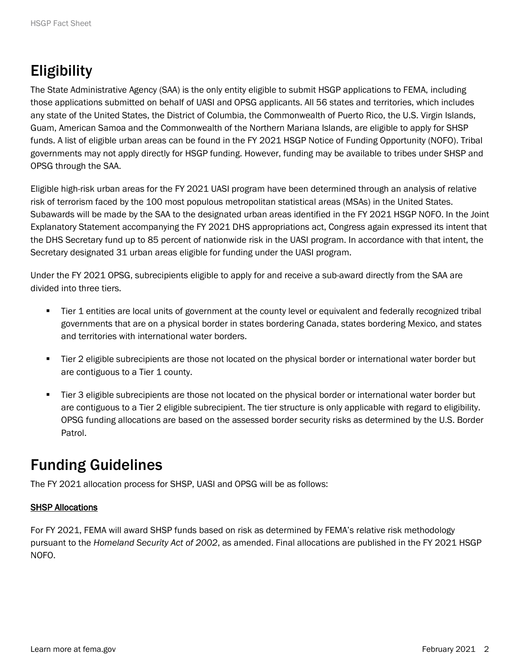# Eligibility

The State Administrative Agency (SAA) is the only entity eligible to submit HSGP applications to FEMA, including those applications submitted on behalf of UASI and OPSG applicants. All 56 states and territories, which includes any state of the United States, the District of Columbia, the Commonwealth of Puerto Rico, the U.S. Virgin Islands, Guam, American Samoa and the Commonwealth of the Northern Mariana Islands, are eligible to apply for SHSP funds. A list of eligible urban areas can be found in the FY 2021 HSGP Notice of Funding Opportunity (NOFO). Tribal governments may not apply directly for HSGP funding. However, funding may be available to tribes under SHSP and OPSG through the SAA.

Eligible high-risk urban areas for the FY 2021 UASI program have been determined through an analysis of relative risk of terrorism faced by the 100 most populous metropolitan statistical areas (MSAs) in the United States. Subawards will be made by the SAA to the designated urban areas identified in the FY 2021 HSGP NOFO. In the Joint Explanatory Statement accompanying the FY 2021 DHS appropriations act, Congress again expressed its intent that the DHS Secretary fund up to 85 percent of nationwide risk in the UASI program. In accordance with that intent, the Secretary designated 31 urban areas eligible for funding under the UASI program.

Under the FY 2021 OPSG, subrecipients eligible to apply for and receive a sub-award directly from the SAA are divided into three tiers.

- Tier 1 entities are local units of government at the county level or equivalent and federally recognized tribal governments that are on a physical border in states bordering Canada, states bordering Mexico, and states and territories with international water borders.
- Tier 2 eligible subrecipients are those not located on the physical border or international water border but are contiguous to a Tier 1 county.
- Tier 3 eligible subrecipients are those not located on the physical border or international water border but are contiguous to a Tier 2 eligible subrecipient. The tier structure is only applicable with regard to eligibility. OPSG funding allocations are based on the assessed border security risks as determined by the U.S. Border Patrol.

### Funding Guidelines

The FY 2021 allocation process for SHSP, UASI and OPSG will be as follows:

#### SHSP Allocations

For FY 2021, FEMA will award SHSP funds based on risk as determined by FEMA's relative risk methodology pursuant to the *Homeland Security Act of 2002*, as amended. Final allocations are published in the FY 2021 HSGP NOFO.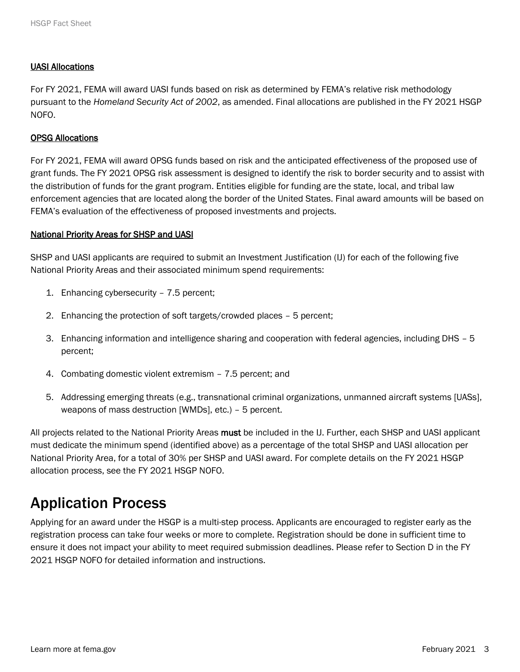#### UASI Allocations

For FY 2021, FEMA will award UASI funds based on risk as determined by FEMA's relative risk methodology pursuant to the *Homeland Security Act of 2002*, as amended. Final allocations are published in the FY 2021 HSGP NOFO.

#### OPSG Allocations

For FY 2021, FEMA will award OPSG funds based on risk and the anticipated effectiveness of the proposed use of grant funds. The FY 2021 OPSG risk assessment is designed to identify the risk to border security and to assist with the distribution of funds for the grant program. Entities eligible for funding are the state, local, and tribal law enforcement agencies that are located along the border of the United States. Final award amounts will be based on FEMA's evaluation of the effectiveness of proposed investments and projects.

#### National Priority Areas for SHSP and UASI

SHSP and UASI applicants are required to submit an Investment Justification (IJ) for each of the following five National Priority Areas and their associated minimum spend requirements:

- 1. Enhancing cybersecurity 7.5 percent;
- 2. Enhancing the protection of soft targets/crowded places 5 percent;
- 3. Enhancing information and intelligence sharing and cooperation with federal agencies, including DHS 5 percent;
- 4. Combating domestic violent extremism 7.5 percent; and
- 5. Addressing emerging threats (e.g., transnational criminal organizations, unmanned aircraft systems [UASs], weapons of mass destruction [WMDs], etc.) – 5 percent.

All projects related to the National Priority Areas must be included in the IJ. Further, each SHSP and UASI applicant must dedicate the minimum spend (identified above) as a percentage of the total SHSP and UASI allocation per National Priority Area, for a total of 30% per SHSP and UASI award. For complete details on the FY 2021 HSGP allocation process, see the FY 2021 HSGP NOFO.

### Application Process

Applying for an award under the HSGP is a multi-step process. Applicants are encouraged to register early as the registration process can take four weeks or more to complete. Registration should be done in sufficient time to ensure it does not impact your ability to meet required submission deadlines. Please refer to Section D in the FY 2021 HSGP NOFO for detailed information and instructions.